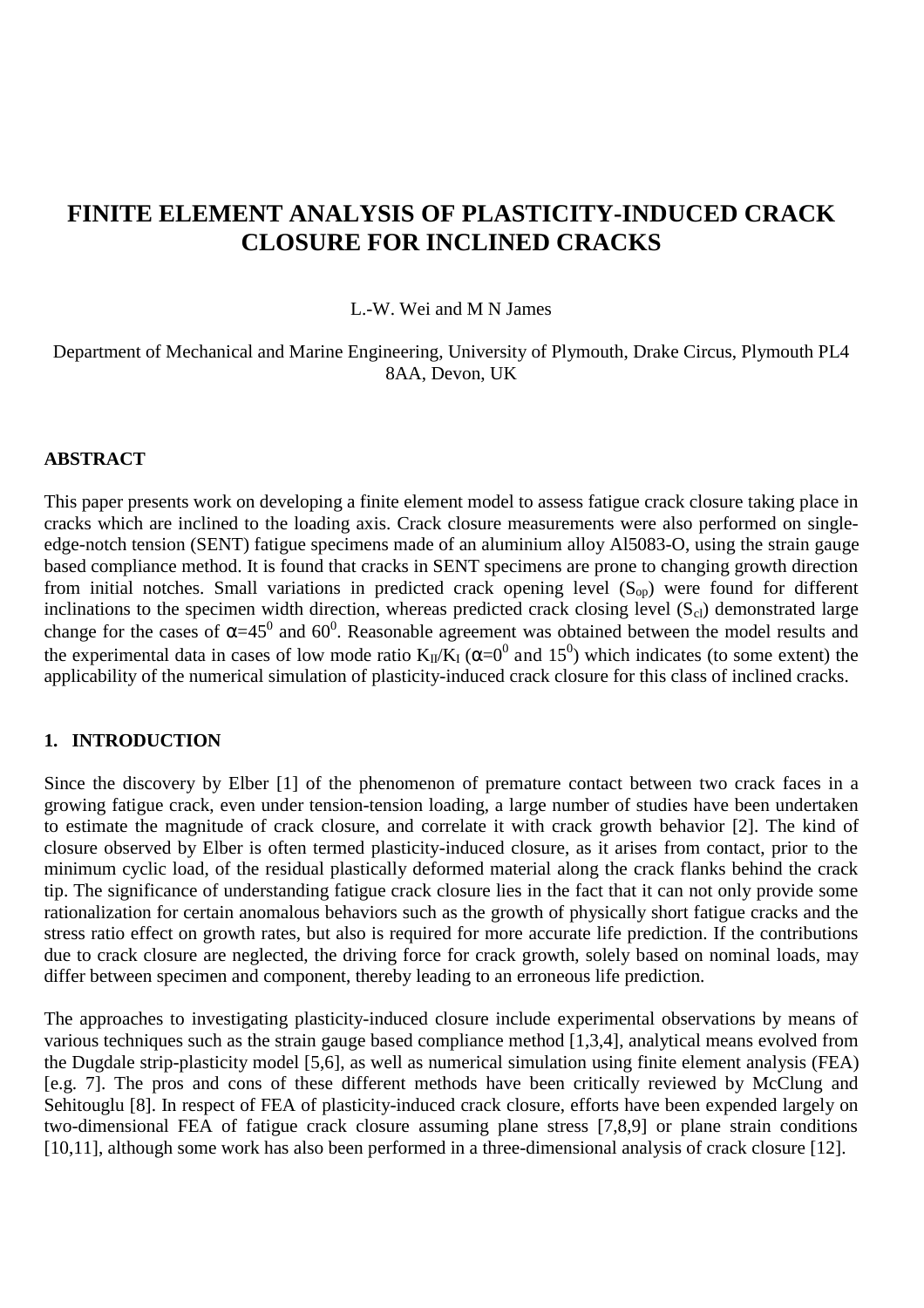# **FINITE ELEMENT ANALYSIS OF PLASTICITY-INDUCED CRACK CLOSURE FOR INCLINED CRACKS**

#### L.-W. Wei and M N James

Department of Mechanical and Marine Engineering, University of Plymouth, Drake Circus, Plymouth PL4 8AA, Devon, UK

#### **ABSTRACT**

This paper presents work on developing a finite element model to assess fatigue crack closure taking place in cracks which are inclined to the loading axis. Crack closure measurements were also performed on singleedge-notch tension (SENT) fatigue specimens made of an aluminium alloy Al5083-O, using the strain gauge based compliance method. It is found that cracks in SENT specimens are prone to changing growth direction from initial notches. Small variations in predicted crack opening level (S<sub>op</sub>) were found for different inclinations to the specimen width direction, whereas predicted crack closing level  $(S_{cl})$  demonstrated large change for the cases of  $\alpha=45^0$  and 60<sup>0</sup>. Reasonable agreement was obtained between the model results and the experimental data in cases of low mode ratio  $K_{II}/K_I$  ( $\alpha=0^0$  and 15<sup>0</sup>) which indicates (to some extent) the applicability of the numerical simulation of plasticity-induced crack closure for this class of inclined cracks.

#### **1. INTRODUCTION**

Since the discovery by Elber [1] of the phenomenon of premature contact between two crack faces in a growing fatigue crack, even under tension-tension loading, a large number of studies have been undertaken to estimate the magnitude of crack closure, and correlate it with crack growth behavior [2]. The kind of closure observed by Elber is often termed plasticity-induced closure, as it arises from contact, prior to the minimum cyclic load, of the residual plastically deformed material along the crack flanks behind the crack tip. The significance of understanding fatigue crack closure lies in the fact that it can not only provide some rationalization for certain anomalous behaviors such as the growth of physically short fatigue cracks and the stress ratio effect on growth rates, but also is required for more accurate life prediction. If the contributions due to crack closure are neglected, the driving force for crack growth, solely based on nominal loads, may differ between specimen and component, thereby leading to an erroneous life prediction.

The approaches to investigating plasticity-induced closure include experimental observations by means of various techniques such as the strain gauge based compliance method [1,3,4], analytical means evolved from the Dugdale strip-plasticity model [5,6], as well as numerical simulation using finite element analysis (FEA) [e.g. 7]. The pros and cons of these different methods have been critically reviewed by McClung and Sehitouglu [8]. In respect of FEA of plasticity-induced crack closure, efforts have been expended largely on two-dimensional FEA of fatigue crack closure assuming plane stress [7,8,9] or plane strain conditions [10,11], although some work has also been performed in a three-dimensional analysis of crack closure [12].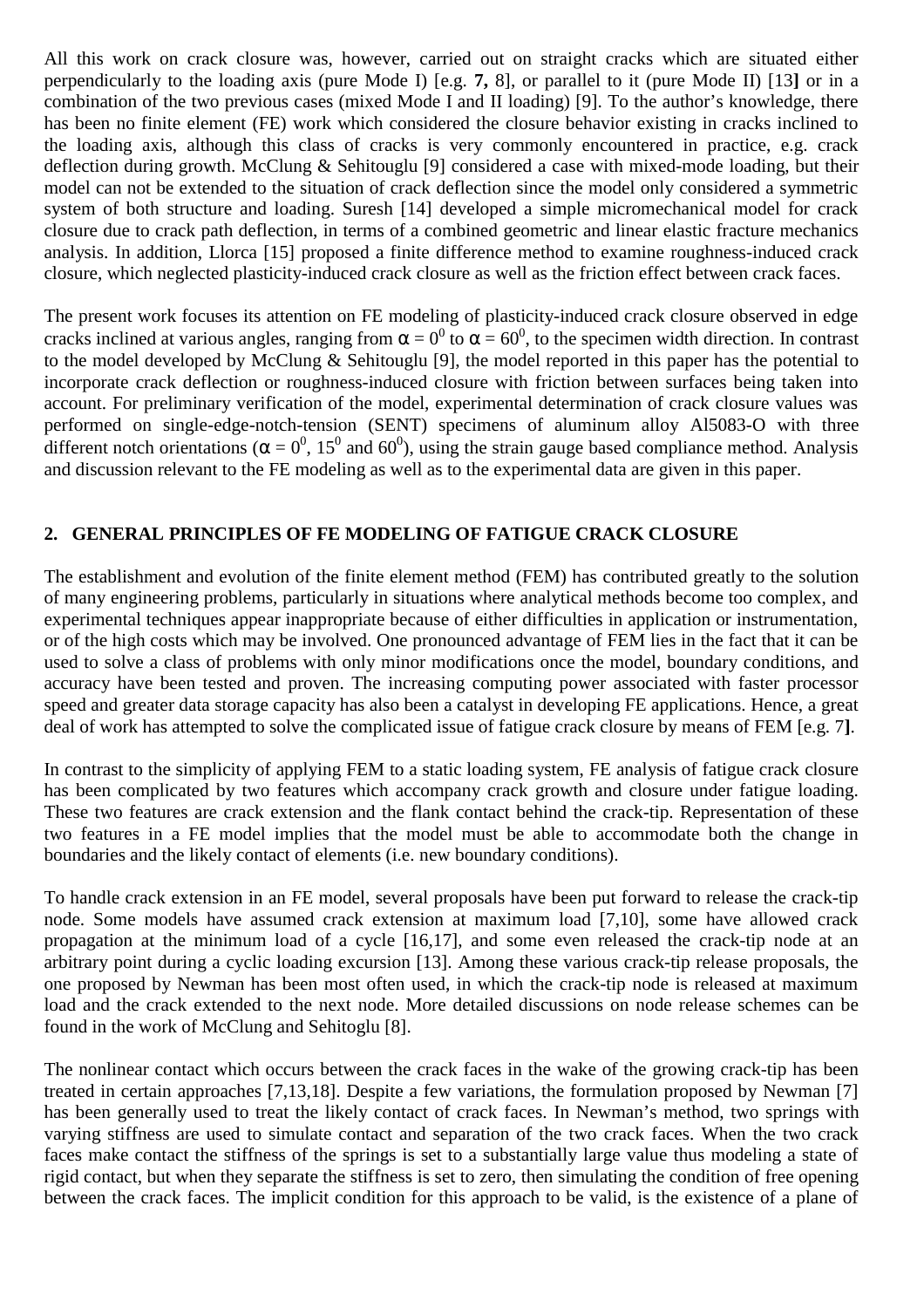All this work on crack closure was, however, carried out on straight cracks which are situated either perpendicularly to the loading axis (pure Mode I) [e.g. **7,** 8], or parallel to it (pure Mode II) [13**]** or in a combination of the two previous cases (mixed Mode I and II loading) [9]. To the author's knowledge, there has been no finite element (FE) work which considered the closure behavior existing in cracks inclined to the loading axis, although this class of cracks is very commonly encountered in practice, e.g. crack deflection during growth. McClung & Sehitouglu [9] considered a case with mixed-mode loading, but their model can not be extended to the situation of crack deflection since the model only considered a symmetric system of both structure and loading. Suresh [14] developed a simple micromechanical model for crack closure due to crack path deflection, in terms of a combined geometric and linear elastic fracture mechanics analysis. In addition, Llorca [15] proposed a finite difference method to examine roughness-induced crack closure, which neglected plasticity-induced crack closure as well as the friction effect between crack faces.

The present work focuses its attention on FE modeling of plasticity-induced crack closure observed in edge cracks inclined at various angles, ranging from  $\alpha = 0^0$  to  $\alpha = 60^0$ , to the specimen width direction. In contrast to the model developed by McClung & Sehitouglu [9], the model reported in this paper has the potential to incorporate crack deflection or roughness-induced closure with friction between surfaces being taken into account. For preliminary verification of the model, experimental determination of crack closure values was performed on single-edge-notch-tension (SENT) specimens of aluminum alloy Al5083-O with three different notch orientations ( $\alpha = 0^0$ , 15<sup>0</sup> and 60<sup>0</sup>), using the strain gauge based compliance method. Analysis and discussion relevant to the FE modeling as well as to the experimental data are given in this paper.

## **2. GENERAL PRINCIPLES OF FE MODELING OF FATIGUE CRACK CLOSURE**

The establishment and evolution of the finite element method (FEM) has contributed greatly to the solution of many engineering problems, particularly in situations where analytical methods become too complex, and experimental techniques appear inappropriate because of either difficulties in application or instrumentation, or of the high costs which may be involved. One pronounced advantage of FEM lies in the fact that it can be used to solve a class of problems with only minor modifications once the model, boundary conditions, and accuracy have been tested and proven. The increasing computing power associated with faster processor speed and greater data storage capacity has also been a catalyst in developing FE applications. Hence, a great deal of work has attempted to solve the complicated issue of fatigue crack closure by means of FEM [e.g. 7**]**.

In contrast to the simplicity of applying FEM to a static loading system, FE analysis of fatigue crack closure has been complicated by two features which accompany crack growth and closure under fatigue loading. These two features are crack extension and the flank contact behind the crack-tip. Representation of these two features in a FE model implies that the model must be able to accommodate both the change in boundaries and the likely contact of elements (i.e. new boundary conditions).

To handle crack extension in an FE model, several proposals have been put forward to release the crack-tip node. Some models have assumed crack extension at maximum load [7,10], some have allowed crack propagation at the minimum load of a cycle [16,17], and some even released the crack-tip node at an arbitrary point during a cyclic loading excursion [13]. Among these various crack-tip release proposals, the one proposed by Newman has been most often used, in which the crack-tip node is released at maximum load and the crack extended to the next node. More detailed discussions on node release schemes can be found in the work of McClung and Sehitoglu [8].

The nonlinear contact which occurs between the crack faces in the wake of the growing crack-tip has been treated in certain approaches [7,13,18]. Despite a few variations, the formulation proposed by Newman [7] has been generally used to treat the likely contact of crack faces. In Newman's method, two springs with varying stiffness are used to simulate contact and separation of the two crack faces. When the two crack faces make contact the stiffness of the springs is set to a substantially large value thus modeling a state of rigid contact, but when they separate the stiffness is set to zero, then simulating the condition of free opening between the crack faces. The implicit condition for this approach to be valid, is the existence of a plane of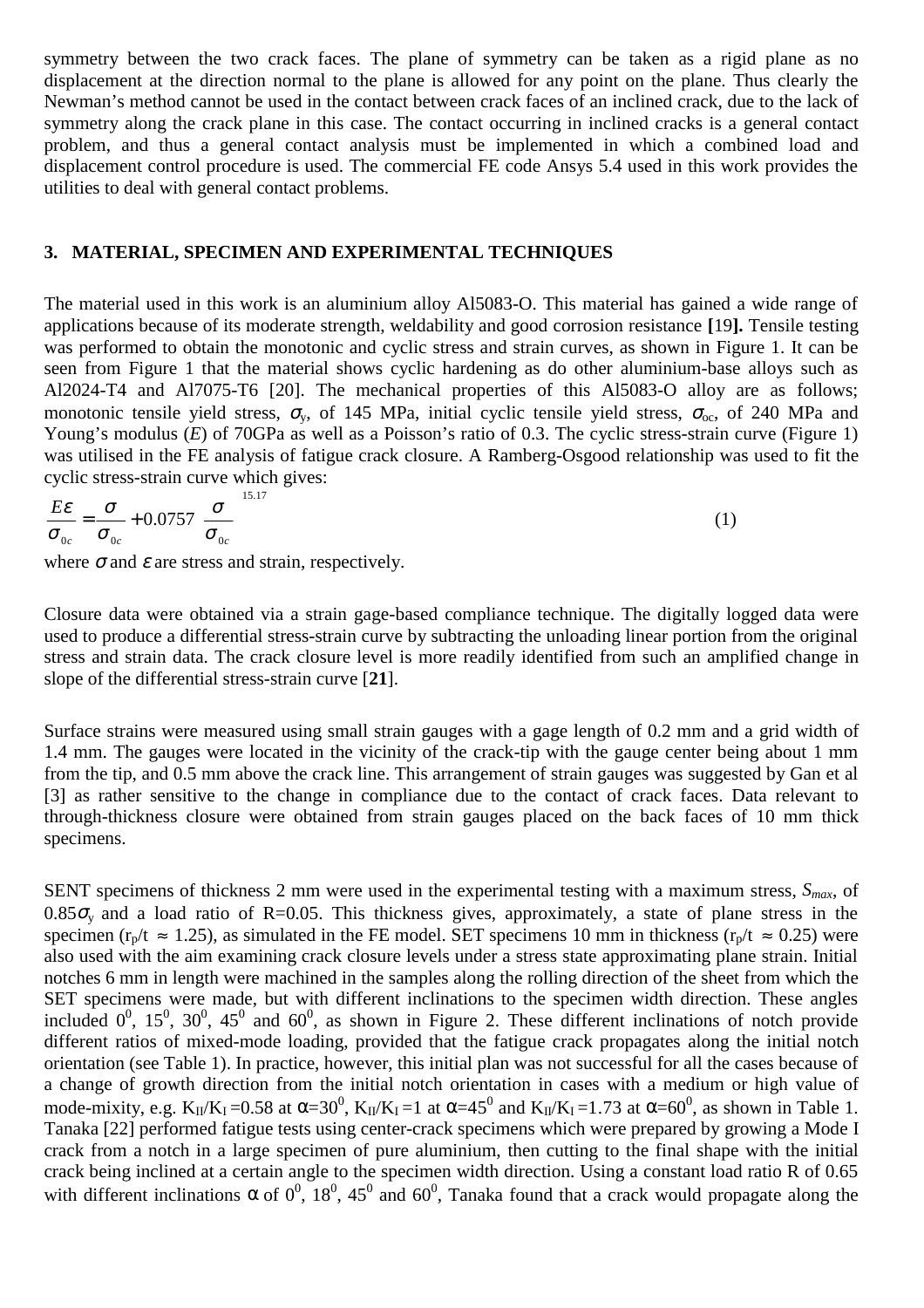symmetry between the two crack faces. The plane of symmetry can be taken as a rigid plane as no displacement at the direction normal to the plane is allowed for any point on the plane. Thus clearly the Newman's method cannot be used in the contact between crack faces of an inclined crack, due to the lack of symmetry along the crack plane in this case. The contact occurring in inclined cracks is a general contact problem, and thus a general contact analysis must be implemented in which a combined load and displacement control procedure is used. The commercial FE code Ansys 5.4 used in this work provides the utilities to deal with general contact problems.

### **3. MATERIAL, SPECIMEN AND EXPERIMENTAL TECHNIQUES**

The material used in this work is an aluminium alloy Al5083-O. This material has gained a wide range of applications because of its moderate strength, weldability and good corrosion resistance **[**19**].** Tensile testing was performed to obtain the monotonic and cyclic stress and strain curves, as shown in Figure 1. It can be seen from Figure 1 that the material shows cyclic hardening as do other aluminium-base alloys such as Al2024-T4 and Al7075-T6 [20]. The mechanical properties of this Al5083-O alloy are as follows; monotonic tensile yield stress,  $\sigma_v$ , of 145 MPa, initial cyclic tensile yield stress,  $\sigma_{oc}$ , of 240 MPa and Young's modulus (*E*) of 70GPa as well as a Poisson's ratio of 0.3. The cyclic stress-strain curve (Figure 1) was utilised in the FE analysis of fatigue crack closure. A Ramberg-Osgood relationship was used to fit the cyclic stress-strain curve which gives:

$$
\frac{E\epsilon}{\sigma_{0c}} = \frac{\sigma}{\sigma_{0c}} + 0.0757 \left(\frac{\sigma}{\sigma_{0c}}\right)^{15.17}
$$
\n(1)

where  $\sigma$  and  $\varepsilon$  are stress and strain, respectively.

Closure data were obtained via a strain gage-based compliance technique. The digitally logged data were used to produce a differential stress-strain curve by subtracting the unloading linear portion from the original stress and strain data. The crack closure level is more readily identified from such an amplified change in slope of the differential stress-strain curve [**21**].

Surface strains were measured using small strain gauges with a gage length of 0.2 mm and a grid width of 1.4 mm. The gauges were located in the vicinity of the crack-tip with the gauge center being about 1 mm from the tip, and 0.5 mm above the crack line. This arrangement of strain gauges was suggested by Gan et al [3] as rather sensitive to the change in compliance due to the contact of crack faces. Data relevant to through-thickness closure were obtained from strain gauges placed on the back faces of 10 mm thick specimens.

SENT specimens of thickness 2 mm were used in the experimental testing with a maximum stress,  $S_{max}$ , of  $0.85\sigma_v$  and a load ratio of R=0.05. This thickness gives, approximately, a state of plane stress in the specimen ( $r_p/t \approx 1.25$ ), as simulated in the FE model. SET specimens 10 mm in thickness ( $r_p/t \approx 0.25$ ) were also used with the aim examining crack closure levels under a stress state approximating plane strain. Initial notches 6 mm in length were machined in the samples along the rolling direction of the sheet from which the SET specimens were made, but with different inclinations to the specimen width direction. These angles included  $0^0$ ,  $15^0$ ,  $30^0$ ,  $45^0$  and  $60^0$ , as shown in Figure 2. These different inclinations of notch provide different ratios of mixed-mode loading, provided that the fatigue crack propagates along the initial notch orientation (see Table 1). In practice, however, this initial plan was not successful for all the cases because of a change of growth direction from the initial notch orientation in cases with a medium or high value of mode-mixity, e.g.  $K_{II}/K_I$  =0.58 at  $\alpha$ =30<sup>0</sup>,  $K_{II}/K_I$  =1 at  $\alpha$ =45<sup>0</sup> and  $K_{II}/K_I$  =1.73 at  $\alpha$ =60<sup>0</sup>, as shown in Table 1. Tanaka [22] performed fatigue tests using center-crack specimens which were prepared by growing a Mode I crack from a notch in a large specimen of pure aluminium, then cutting to the final shape with the initial crack being inclined at a certain angle to the specimen width direction. Using a constant load ratio R of 0.65 with different inclinations  $\alpha$  of  $0^0$ ,  $18^0$ ,  $45^0$  and  $60^0$ , Tanaka found that a crack would propagate along the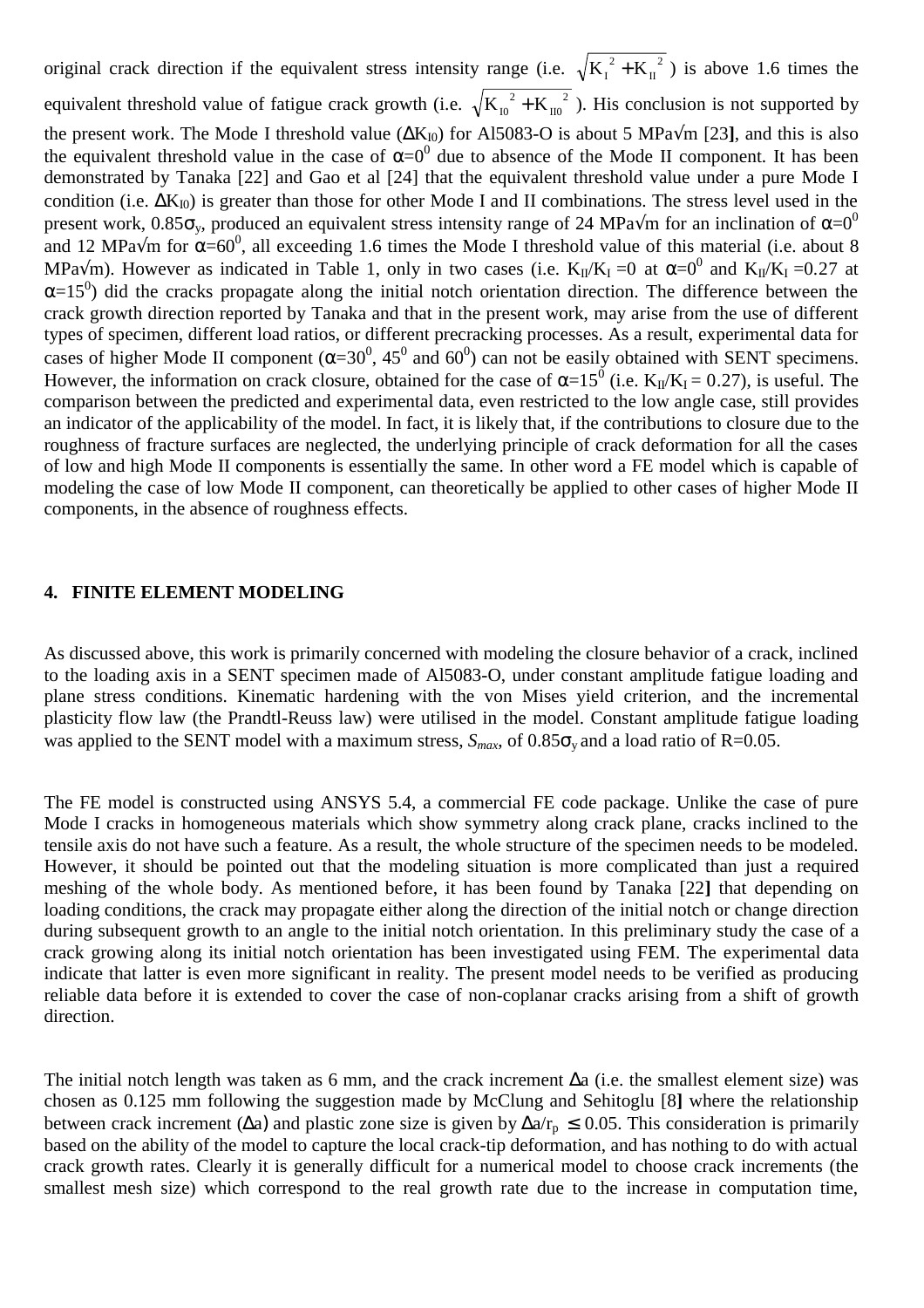original crack direction if the equivalent stress intensity range (i.e.  $\sqrt{K_I^2 + K_{II}^2}$ ) is above 1.6 times the equivalent threshold value of fatigue crack growth (i.e.  $\sqrt{K_{10}^2 + K_{10}^2}$ ). His conclusion is not supported by the present work. The Mode I threshold value ( $\Delta K_{I0}$ ) for Al5083-O is about 5 MPa $\sqrt{m}$  [23], and this is also the equivalent threshold value in the case of  $\alpha=0^0$  due to absence of the Mode II component. It has been demonstrated by Tanaka [22] and Gao et al [24] that the equivalent threshold value under a pure Mode I condition (i.e.  $\Delta K_{I0}$ ) is greater than those for other Mode I and II combinations. The stress level used in the present work, 0.85 $\sigma_v$ , produced an equivalent stress intensity range of 24 MPa $\sqrt{m}$  for an inclination of α=0<sup>0</sup> and 12 MPa $\sqrt{m}$  for  $\alpha = 60^0$ , all exceeding 1.6 times the Mode I threshold value of this material (i.e. about 8 MPa $\sqrt{m}$ ). However as indicated in Table 1, only in two cases (i.e.  $K_{II}/K_I = 0$  at  $\alpha = 0^0$  and  $K_{II}/K_I = 0.27$  at  $\alpha$ =15<sup>0</sup>) did the cracks propagate along the initial notch orientation direction. The difference between the crack growth direction reported by Tanaka and that in the present work, may arise from the use of different types of specimen, different load ratios, or different precracking processes. As a result, experimental data for cases of higher Mode II component ( $\alpha = 30^0$ , 45<sup>0</sup> and 60<sup>0</sup>) can not be easily obtained with SENT specimens. However, the information on crack closure, obtained for the case of  $\alpha=15^0$  (i.e. K<sub>II</sub>/K<sub>I</sub> = 0.27), is useful. The comparison between the predicted and experimental data, even restricted to the low angle case, still provides an indicator of the applicability of the model. In fact, it is likely that, if the contributions to closure due to the roughness of fracture surfaces are neglected, the underlying principle of crack deformation for all the cases of low and high Mode II components is essentially the same. In other word a FE model which is capable of modeling the case of low Mode II component, can theoretically be applied to other cases of higher Mode II components, in the absence of roughness effects.

#### **4. FINITE ELEMENT MODELING**

As discussed above, this work is primarily concerned with modeling the closure behavior of a crack, inclined to the loading axis in a SENT specimen made of Al5083-O, under constant amplitude fatigue loading and plane stress conditions. Kinematic hardening with the von Mises yield criterion, and the incremental plasticity flow law (the Prandtl-Reuss law) were utilised in the model. Constant amplitude fatigue loading was applied to the SENT model with a maximum stress,  $S_{max}$ , of  $0.85\sigma_v$  and a load ratio of R=0.05.

The FE model is constructed using ANSYS 5.4, a commercial FE code package. Unlike the case of pure Mode I cracks in homogeneous materials which show symmetry along crack plane, cracks inclined to the tensile axis do not have such a feature. As a result, the whole structure of the specimen needs to be modeled. However, it should be pointed out that the modeling situation is more complicated than just a required meshing of the whole body. As mentioned before, it has been found by Tanaka [22**]** that depending on loading conditions, the crack may propagate either along the direction of the initial notch or change direction during subsequent growth to an angle to the initial notch orientation. In this preliminary study the case of a crack growing along its initial notch orientation has been investigated using FEM. The experimental data indicate that latter is even more significant in reality. The present model needs to be verified as producing reliable data before it is extended to cover the case of non-coplanar cracks arising from a shift of growth direction.

The initial notch length was taken as 6 mm, and the crack increment ∆a (i.e. the smallest element size) was chosen as 0.125 mm following the suggestion made by McClung and Sehitoglu [8**]** where the relationship between crack increment ( $\Delta a$ ) and plastic zone size is given by  $\Delta a/r_p \leq 0.05$ . This consideration is primarily based on the ability of the model to capture the local crack-tip deformation, and has nothing to do with actual crack growth rates. Clearly it is generally difficult for a numerical model to choose crack increments (the smallest mesh size) which correspond to the real growth rate due to the increase in computation time,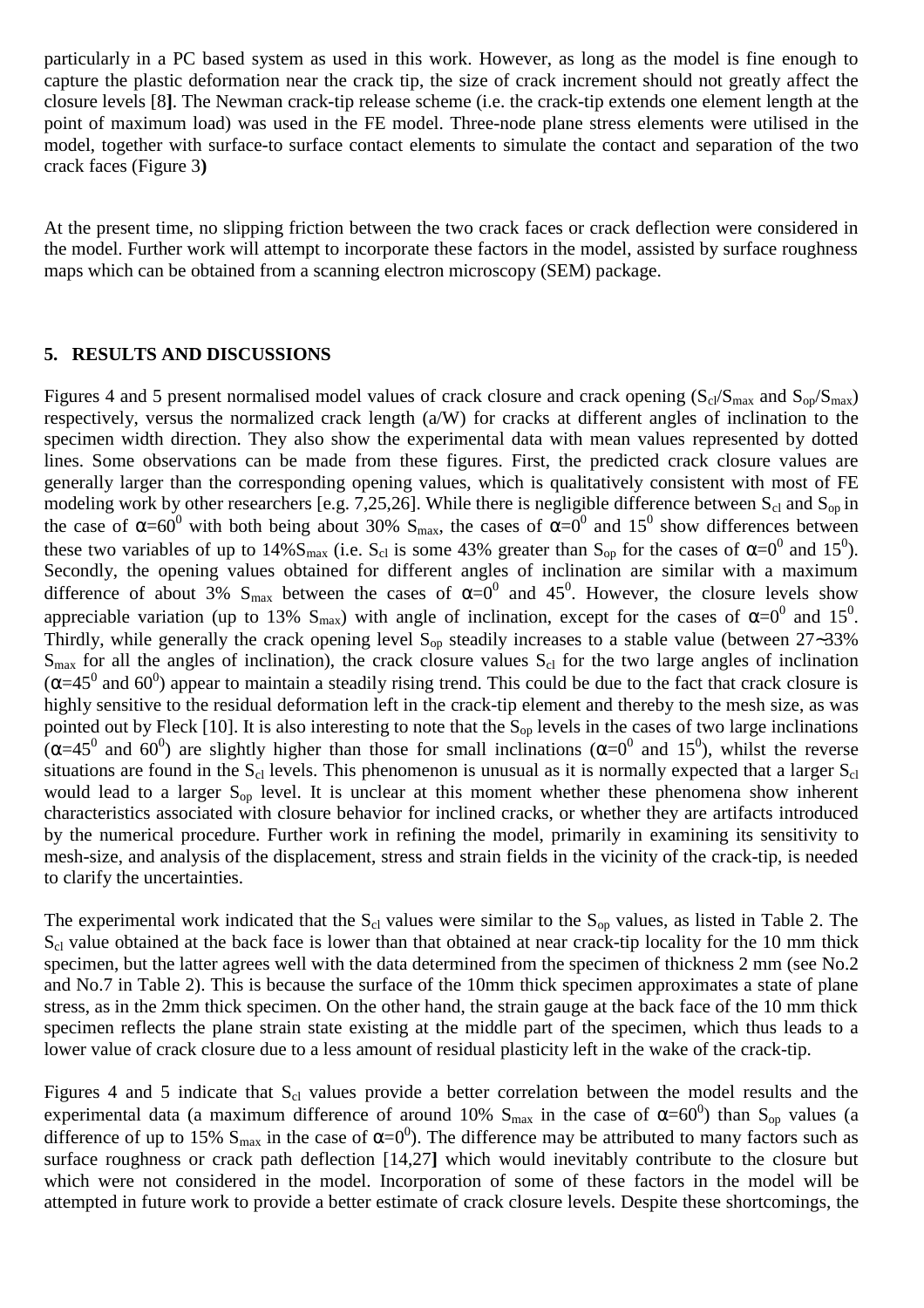particularly in a PC based system as used in this work. However, as long as the model is fine enough to capture the plastic deformation near the crack tip, the size of crack increment should not greatly affect the closure levels [8**]**. The Newman crack-tip release scheme (i.e. the crack-tip extends one element length at the point of maximum load) was used in the FE model. Three-node plane stress elements were utilised in the model, together with surface-to surface contact elements to simulate the contact and separation of the two crack faces (Figure 3**)**

At the present time, no slipping friction between the two crack faces or crack deflection were considered in the model. Further work will attempt to incorporate these factors in the model, assisted by surface roughness maps which can be obtained from a scanning electron microscopy (SEM) package.

#### **5. RESULTS AND DISCUSSIONS**

Figures 4 and 5 present normalised model values of crack closure and crack opening  $(S_{cl}/S_{max}$  and  $S_{op}/S_{max}$ ) respectively, versus the normalized crack length (a/W) for cracks at different angles of inclination to the specimen width direction. They also show the experimental data with mean values represented by dotted lines. Some observations can be made from these figures. First, the predicted crack closure values are generally larger than the corresponding opening values, which is qualitatively consistent with most of FE modeling work by other researchers [e.g. 7,25,26]. While there is negligible difference between  $S_{cl}$  and  $S_{op}$  in the case of  $\alpha = 60^{\circ}$  with both being about 30% S<sub>max</sub>, the cases of  $\alpha = 0^{\circ}$  and 15<sup>°</sup> show differences between these two variables of up to 14% $S_{\text{max}}$  (i.e.  $S_{\text{cl}}$  is some 43% greater than  $S_{\text{op}}$  for the cases of  $\alpha = 0^0$  and 15<sup>0</sup>). Secondly, the opening values obtained for different angles of inclination are similar with a maximum difference of about 3%  $S_{\text{max}}$  between the cases of  $\alpha=0^0$  and 45<sup>0</sup>. However, the closure levels show appreciable variation (up to 13% S<sub>max</sub>) with angle of inclination, except for the cases of  $\alpha=0^0$  and 15<sup>0</sup>. Thirdly, while generally the crack opening level  $S_{op}$  steadily increases to a stable value (between 27∼33%)  $S<sub>max</sub>$  for all the angles of inclination), the crack closure values  $S<sub>cl</sub>$  for the two large angles of inclination  $(\alpha=45^0$  and 60<sup>0</sup>) appear to maintain a steadily rising trend. This could be due to the fact that crack closure is highly sensitive to the residual deformation left in the crack-tip element and thereby to the mesh size, as was pointed out by Fleck [10]. It is also interesting to note that the  $S_{op}$  levels in the cases of two large inclinations ( $\alpha$ =45<sup>0</sup> and 60<sup>0</sup>) are slightly higher than those for small inclinations ( $\alpha$ =0<sup>0</sup> and 15<sup>0</sup>), whilst the reverse situations are found in the  $S_{cl}$  levels. This phenomenon is unusual as it is normally expected that a larger  $S_{cl}$ would lead to a larger S<sub>op</sub> level. It is unclear at this moment whether these phenomena show inherent characteristics associated with closure behavior for inclined cracks, or whether they are artifacts introduced by the numerical procedure. Further work in refining the model, primarily in examining its sensitivity to mesh-size, and analysis of the displacement, stress and strain fields in the vicinity of the crack-tip, is needed to clarify the uncertainties.

The experimental work indicated that the  $S_{cl}$  values were similar to the  $S_{op}$  values, as listed in Table 2. The  $S<sub>cl</sub>$  value obtained at the back face is lower than that obtained at near crack-tip locality for the 10 mm thick specimen, but the latter agrees well with the data determined from the specimen of thickness 2 mm (see No.2 and No.7 in Table 2). This is because the surface of the 10mm thick specimen approximates a state of plane stress, as in the 2mm thick specimen. On the other hand, the strain gauge at the back face of the 10 mm thick specimen reflects the plane strain state existing at the middle part of the specimen, which thus leads to a lower value of crack closure due to a less amount of residual plasticity left in the wake of the crack-tip.

Figures 4 and 5 indicate that  $S_{cl}$  values provide a better correlation between the model results and the experimental data (a maximum difference of around 10%  $S_{\text{max}}$  in the case of  $\alpha = 60^0$ ) than  $S_{\text{op}}$  values (a difference of up to 15%  $S_{\text{max}}$  in the case of  $\alpha = 0^0$ ). The difference may be attributed to many factors such as surface roughness or crack path deflection [14,27**]** which would inevitably contribute to the closure but which were not considered in the model. Incorporation of some of these factors in the model will be attempted in future work to provide a better estimate of crack closure levels. Despite these shortcomings, the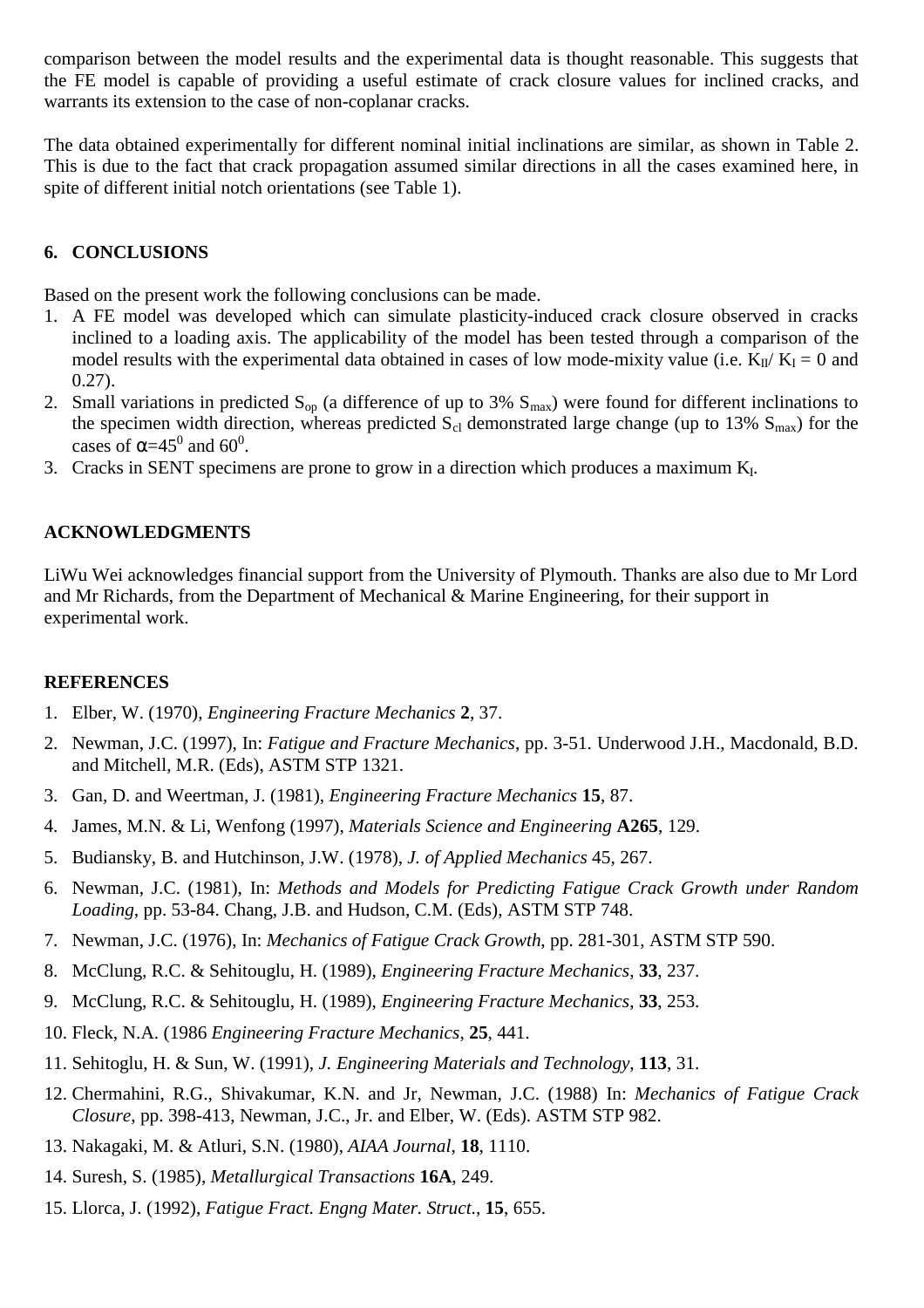comparison between the model results and the experimental data is thought reasonable. This suggests that the FE model is capable of providing a useful estimate of crack closure values for inclined cracks, and warrants its extension to the case of non-coplanar cracks.

The data obtained experimentally for different nominal initial inclinations are similar, as shown in Table 2. This is due to the fact that crack propagation assumed similar directions in all the cases examined here, in spite of different initial notch orientations (see Table 1).

## **6. CONCLUSIONS**

Based on the present work the following conclusions can be made.

- 1. A FE model was developed which can simulate plasticity-induced crack closure observed in cracks inclined to a loading axis. The applicability of the model has been tested through a comparison of the model results with the experimental data obtained in cases of low mode-mixity value (i.e.  $K_{II}/K_I = 0$  and 0.27).
- 2. Small variations in predicted  $S_{op}$  (a difference of up to 3%  $S_{max}$ ) were found for different inclinations to the specimen width direction, whereas predicted  $S_{cl}$  demonstrated large change (up to 13%  $S_{max}$ ) for the cases of  $\alpha$ =45<sup>0</sup> and 60<sup>0</sup>.
- 3. Cracks in SENT specimens are prone to grow in a direction which produces a maximum K<sub>I</sub>.

## **ACKNOWLEDGMENTS**

LiWu Wei acknowledges financial support from the University of Plymouth. Thanks are also due to Mr Lord and Mr Richards, from the Department of Mechanical & Marine Engineering, for their support in experimental work.

### **REFERENCES**

- 1. Elber, W. (1970), *Engineering Fracture Mechanics* **2**, 37.
- 2. Newman, J.C. (1997), In: *Fatigue and Fracture Mechanics*, pp. 3-51. Underwood J.H., Macdonald, B.D. and Mitchell, M.R. (Eds), ASTM STP 1321.
- 3. Gan, D. and Weertman, J. (1981), *Engineering Fracture Mechanics* **15**, 87.
- 4. James, M.N. & Li, Wenfong (1997), *Materials Science and Engineering* **A265**, 129.
- 5. Budiansky, B. and Hutchinson, J.W. (1978), *J. of Applied Mechanics* 45, 267.
- 6. Newman, J.C. (1981), In: *Methods and Models for Predicting Fatigue Crack Growth under Random Loading*, pp. 53-84. Chang, J.B. and Hudson, C.M. (Eds), ASTM STP 748.
- 7. Newman, J.C. (1976), In: *Mechanics of Fatigue Crack Growth*, pp. 281-301, ASTM STP 590.
- 8. McClung, R.C. & Sehitouglu, H. (1989), *Engineering Fracture Mechanics*, **33**, 237.
- 9. McClung, R.C. & Sehitouglu, H. (1989), *Engineering Fracture Mechanics*, **33**, 253.
- 10. Fleck, N.A. (1986 *Engineering Fracture Mechanics*, **25**, 441.
- 11. Sehitoglu, H. & Sun, W. (1991), *J. Engineering Materials and Technology*, **113**, 31.
- 12. Chermahini, R.G., Shivakumar, K.N. and Jr, Newman, J.C. (1988) In: *Mechanics of Fatigue Crack Closure*, pp. 398-413, Newman, J.C., Jr. and Elber, W. (Eds). ASTM STP 982.
- 13. Nakagaki, M. & Atluri, S.N. (1980), *AIAA Journal*, **18**, 1110.
- 14. Suresh, S. (1985), *Metallurgical Transactions* **16A**, 249.
- 15. Llorca, J. (1992), *Fatigue Fract. Engng Mater. Struct*., **15**, 655.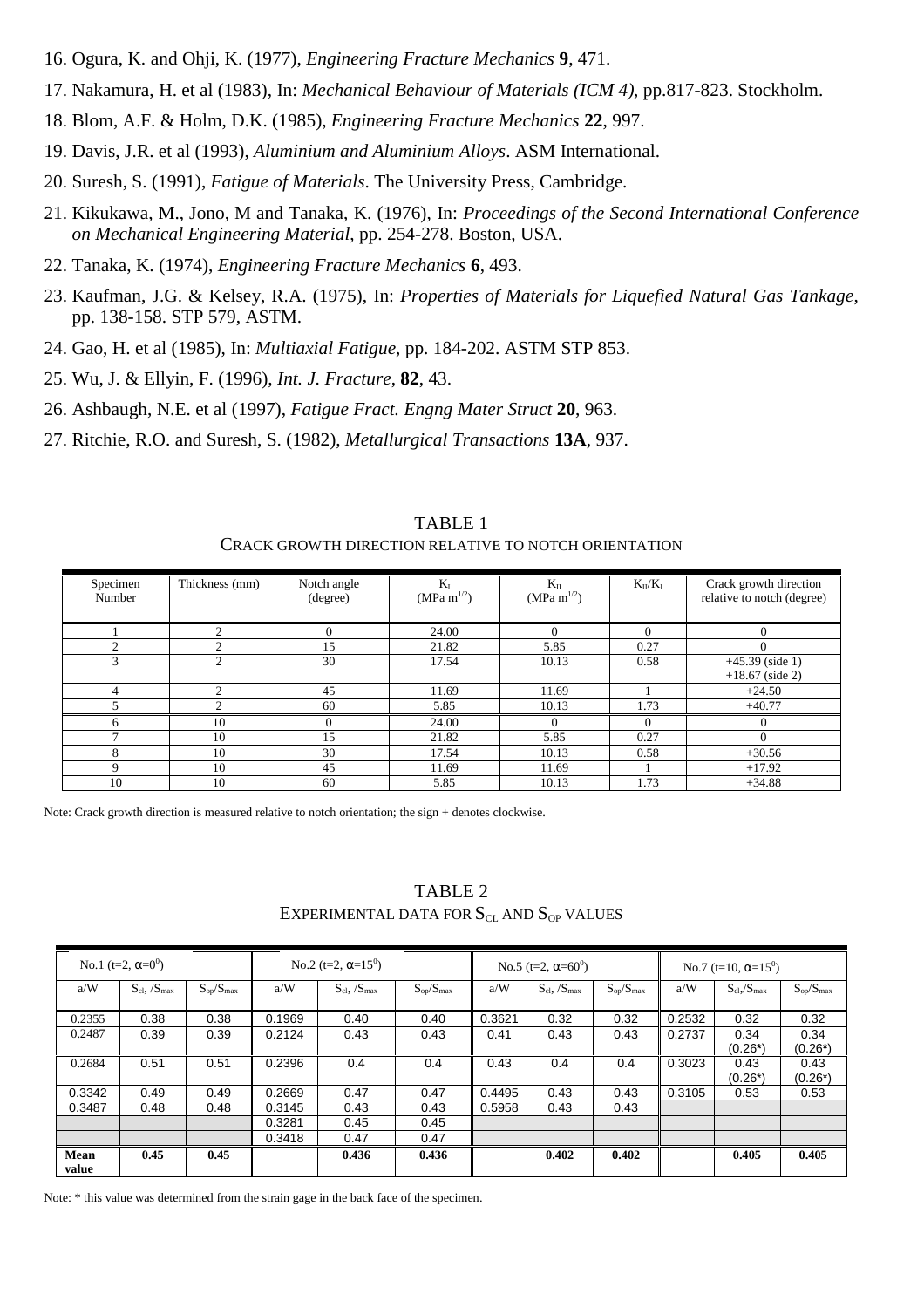- 16. Ogura, K. and Ohji, K. (1977), *Engineering Fracture Mechanics* **9**, 471.
- 17. Nakamura, H. et al (1983), In: *Mechanical Behaviour of Materials (ICM 4)*, pp.817-823. Stockholm.
- 18. Blom, A.F. & Holm, D.K. (1985), *Engineering Fracture Mechanics* **22**, 997.
- 19. Davis, J.R. et al (1993), *Aluminium and Aluminium Alloys*. ASM International.
- 20. Suresh, S. (1991), *Fatigue of Materials*. The University Press, Cambridge.
- 21. Kikukawa, M., Jono, M and Tanaka, K. (1976), In: *Proceedings of the Second International Conference on Mechanical Engineering Material*, pp. 254-278. Boston, USA.
- 22. Tanaka, K. (1974), *Engineering Fracture Mechanics* **6**, 493.
- 23. Kaufman, J.G. & Kelsey, R.A. (1975), In: *Properties of Materials for Liquefied Natural Gas Tankage*, pp. 138-158. STP 579, ASTM.
- 24. Gao, H. et al (1985), In: *Multiaxial Fatigue*, pp. 184-202. ASTM STP 853.
- 25. Wu, J. & Ellyin, F. (1996), *Int. J. Fracture*, **82**, 43.
- 26. Ashbaugh, N.E. et al (1997), *Fatigue Fract. Engng Mater Struct* **20**, 963.
- 27. Ritchie, R.O. and Suresh, S. (1982), *Metallurgical Transactions* **13A**, 937.

| CRACK UROW HI DIRECTION RELATIVE TO NOTCH ORIENTATION |                |                         |                            |                                |                |                                                      |  |  |  |  |
|-------------------------------------------------------|----------------|-------------------------|----------------------------|--------------------------------|----------------|------------------------------------------------------|--|--|--|--|
| Specimen<br>Number                                    | Thickness (mm) | Notch angle<br>(degree) | $K_I$<br>(MPa m $^{1/2}$ ) | $K_{II}$<br>$(MPa \; m^{1/2})$ | $K_{II}/K_{I}$ | Crack growth direction<br>relative to notch (degree) |  |  |  |  |
|                                                       |                |                         | 24.00                      | $\Omega$                       | $\Omega$       |                                                      |  |  |  |  |
| 2                                                     | $\mathcal{D}$  | 15                      | 21.82                      | 5.85                           | 0.27           |                                                      |  |  |  |  |
| 3                                                     | 2              | 30                      | 17.54                      | 10.13                          | 0.58           | $+45.39$ (side 1)<br>$+18.67$ (side 2)               |  |  |  |  |
| 4                                                     | $\mathcal{L}$  | 45                      | 11.69                      | 11.69                          |                | $+24.50$                                             |  |  |  |  |
|                                                       |                | 60                      | 5.85                       | 10.13                          | 1.73           | $+40.77$                                             |  |  |  |  |
| 6                                                     | 10             | 0                       | 24.00                      |                                | $\Omega$       |                                                      |  |  |  |  |
|                                                       | 10             | 15                      | 21.82                      | 5.85                           | 0.27           | $\Omega$                                             |  |  |  |  |
| 8                                                     | 10             | 30                      | 17.54                      | 10.13                          | 0.58           | $+30.56$                                             |  |  |  |  |
| 9                                                     | 10             | 45                      | 11.69                      | 11.69                          |                | $+17.92$                                             |  |  |  |  |

TABLE 1 CRACK GROWTH DIRECTION RELATIVE TO NOTCH ORIENTATION

Note: Crack growth direction is measured relative to notch orientation; the sign + denotes clockwise.

TABLE 2 EXPERIMENTAL DATA FOR  $S_{CL}$  AND  $S_{OP}$  VALUES

10 10 60 5.85 10.13 1.73 +34.88

| No.1 (t=2, $\alpha=0^0$ ) |                               |                  | No.2 (t=2, $\alpha$ =15 <sup>0</sup> ) |                               |                  | No.5 (t=2, $\alpha$ =60 <sup>0</sup> ) |                               |                  | No.7 (t=10, $\alpha$ =15 <sup>0</sup> ) |                       |                  |
|---------------------------|-------------------------------|------------------|----------------------------------------|-------------------------------|------------------|----------------------------------------|-------------------------------|------------------|-----------------------------------------|-----------------------|------------------|
| a/W                       | $S_{\rm cl}$ , $/S_{\rm max}$ | $S_{op}/S_{max}$ | a/W                                    | $S_{\rm cl}$ , $/S_{\rm max}$ | $S_{op}/S_{max}$ | a/W                                    | $S_{\rm cl}$ , $/S_{\rm max}$ | $S_{op}/S_{max}$ | a/W                                     | $S_{cl}$ ,/ $S_{max}$ | $S_{op}/S_{max}$ |
|                           |                               |                  |                                        |                               |                  |                                        |                               |                  |                                         |                       |                  |
| 0.2355                    | 0.38                          | 0.38             | 0.1969                                 | 0.40                          | 0.40             | 0.3621                                 | 0.32                          | 0.32             | 0.2532                                  | 0.32                  | 0.32             |
| 0.2487                    | 0.39                          | 0.39             | 0.2124                                 | 0.43                          | 0.43             | 0.41                                   | 0.43                          | 0.43             | 0.2737                                  | 0.34                  | 0.34             |
|                           |                               |                  |                                        |                               |                  |                                        |                               |                  |                                         | $(0.26*)$             | $(0.26*)$        |
| 0.2684                    | 0.51                          | 0.51             | 0.2396                                 | 0.4                           | 0.4              | 0.43                                   | 0.4                           | 0.4              | 0.3023                                  | 0.43                  | 0.43             |
|                           |                               |                  |                                        |                               |                  |                                        |                               |                  |                                         | $(0.26*)$             | $(0.26*)$        |
| 0.3342                    | 0.49                          | 0.49             | 0.2669                                 | 0.47                          | 0.47             | 0.4495                                 | 0.43                          | 0.43             | 0.3105                                  | 0.53                  | 0.53             |
| 0.3487                    | 0.48                          | 0.48             | 0.3145                                 | 0.43                          | 0.43             | 0.5958                                 | 0.43                          | 0.43             |                                         |                       |                  |
|                           |                               |                  | 0.3281                                 | 0.45                          | 0.45             |                                        |                               |                  |                                         |                       |                  |
|                           |                               |                  | 0.3418                                 | 0.47                          | 0.47             |                                        |                               |                  |                                         |                       |                  |
| Mean<br>value             | 0.45                          | 0.45             |                                        | 0.436                         | 0.436            |                                        | 0.402                         | 0.402            |                                         | 0.405                 | 0.405            |

Note: \* this value was determined from the strain gage in the back face of the specimen.